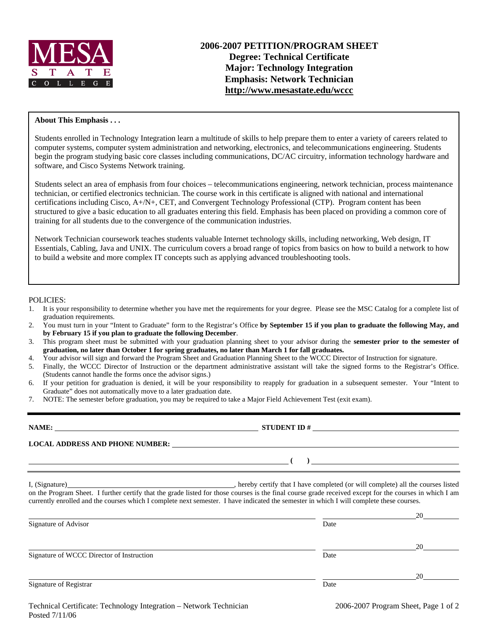

### **About This Emphasis . . .**

Students enrolled in Technology Integration learn a multitude of skills to help prepare them to enter a variety of careers related to computer systems, computer system administration and networking, electronics, and telecommunications engineering. Students begin the program studying basic core classes including communications, DC/AC circuitry, information technology hardware and software, and Cisco Systems Network training.

Students select an area of emphasis from four choices – telecommunications engineering, network technician, process maintenance technician, or certified electronics technician. The course work in this certificate is aligned with national and international certifications including Cisco, A+/N+, CET, and Convergent Technology Professional (CTP). Program content has been structured to give a basic education to all graduates entering this field. Emphasis has been placed on providing a common core of training for all students due to the convergence of the communication industries.

Network Technician coursework teaches students valuable Internet technology skills, including networking, Web design, IT Essentials, Cabling, Java and UNIX. The curriculum covers a broad range of topics from basics on how to build a network to how to build a website and more complex IT concepts such as applying advanced troubleshooting tools.

#### POLICIES:

- 1. It is your responsibility to determine whether you have met the requirements for your degree. Please see the MSC Catalog for a complete list of graduation requirements.
- 2. You must turn in your "Intent to Graduate" form to the Registrar's Office **by September 15 if you plan to graduate the following May, and by February 15 if you plan to graduate the following December**.
- 3. This program sheet must be submitted with your graduation planning sheet to your advisor during the **semester prior to the semester of graduation, no later than October 1 for spring graduates, no later than March 1 for fall graduates.**
- 4. Your advisor will sign and forward the Program Sheet and Graduation Planning Sheet to the WCCC Director of Instruction for signature.
- 5. Finally, the WCCC Director of Instruction or the department administrative assistant will take the signed forms to the Registrar's Office. (Students cannot handle the forms once the advisor signs.)
- 6. If your petition for graduation is denied, it will be your responsibility to reapply for graduation in a subsequent semester. Your "Intent to Graduate" does not automatically move to a later graduation date.
- 7. NOTE: The semester before graduation, you may be required to take a Major Field Achievement Test (exit exam).

# **NAME: STUDENT ID #**

 $($   $)$   $)$   $)$   $\frac{1}{2}$   $($   $)$   $\frac{1}{2}$   $($   $)$   $\frac{1}{2}$   $($   $)$   $\frac{1}{2}$   $($   $)$   $\frac{1}{2}$   $($   $)$   $\frac{1}{2}$   $($   $)$   $\frac{1}{2}$   $($   $)$   $\frac{1}{2}$   $($   $)$   $\frac{1}{2}$   $($   $)$   $\frac{1}{2}$   $($   $)$   $\frac{1}{2}$   $($   $)$   $\frac{1}{2$ 

**LOCAL ADDRESS AND PHONE NUMBER:**

I, (Signature) , hereby certify that I have completed (or will complete) all the courses listed on the Program Sheet. I further certify that the grade listed for those courses is the final course grade received except for the courses in which I am currently enrolled and the courses which I complete next semester. I have indicated the semester in which I will complete these courses.

|                                           |      | 20 |
|-------------------------------------------|------|----|
| Signature of Advisor                      | Date |    |
|                                           |      | 20 |
| Signature of WCCC Director of Instruction | Date |    |
|                                           |      | 20 |
| Signature of Registrar                    | Date |    |